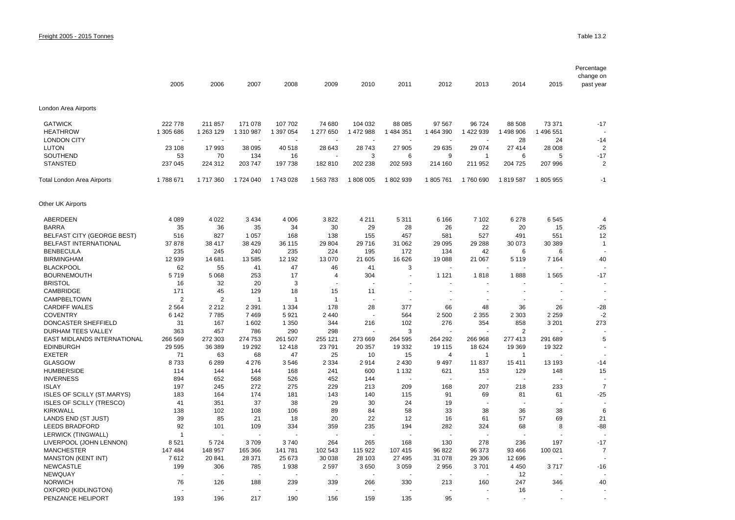|                                                 | 2005               | 2006              | 2007               | 2008          | 2009              | 2010              | 2011              | 2012              | 2013              | 2014               | 2015              | Percentage<br>change on<br>past year |
|-------------------------------------------------|--------------------|-------------------|--------------------|---------------|-------------------|-------------------|-------------------|-------------------|-------------------|--------------------|-------------------|--------------------------------------|
| London Area Airports                            |                    |                   |                    |               |                   |                   |                   |                   |                   |                    |                   |                                      |
| <b>GATWICK</b>                                  | 222 778            | 211 857           | 171 078            | 107 702       | 74 680            | 104 032           | 88 085            | 97 567            | 96 724            | 88 508             | 73 371            | $-17$                                |
| <b>HEATHROW</b>                                 | 1 305 686          | 1 263 129         | 1 310 987          | 1 397 054     | 1 277 650         | 1 472 988         | 1 484 351         | 1 464 390         | 1 422 939         | 1 498 906          | 1 496 551         |                                      |
| <b>LONDON CITY</b>                              |                    |                   |                    |               |                   |                   |                   |                   |                   | 28                 | 24                | $-14$                                |
| <b>LUTON</b>                                    | 23 108             | 17993             | 38 095             | 40 518        | 28 643            | 28 743            | 27 905            | 29 635            | 29 0 74           | 27 414             | 28 008            | 2                                    |
| SOUTHEND                                        | 53                 | 70                | 134                | 16            |                   | 3                 | 6                 | 9                 | 1                 | 6                  | 5                 | $-17$                                |
| <b>STANSTED</b>                                 | 237 045            | 224 312           | 203 747            | 197 738       | 182 810           | 202 238           | 202 593           | 214 160           | 211 952           | 204 725            | 207 996           | $\overline{2}$                       |
| Total London Area Airports                      | 1788 671           | 1717360           | 1724 040           | 1743028       | 1 563 783         | 1808005           | 1802939           | 1805761           | 1760 690          | 1819587            | 1805955           | $-1$                                 |
| Other UK Airports                               |                    |                   |                    |               |                   |                   |                   |                   |                   |                    |                   |                                      |
| ABERDEEN                                        | 4 0 8 9            | 4 0 2 2           | 3 4 3 4            | 4 0 0 6       | 3822              | 4 2 1 1           | 5 3 1 1           | 6 1 6 6           | 7 1 0 2           | 6 2 7 8            | 6545              | $\overline{4}$                       |
| <b>BARRA</b>                                    | 35                 | 36                | 35                 | 34            | 30                | 29                | 28                | 26                | 22                | 20                 | 15                | $-25$                                |
| <b>BELFAST CITY (GEORGE BEST)</b>               | 516                | 827               | 1 0 5 7            | 168           | 138               | 155               | 457               | 581               | 527               | 491                | 551               | 12                                   |
| <b>BELFAST INTERNATIONAL</b>                    | 37878              | 38 417            | 38 4 29            | 36 115        | 29 804            | 29 716            | 31 062            | 29 0 95           | 29 288            | 30 073             | 30 389            | $\overline{1}$                       |
| <b>BENBECULA</b>                                | 235                | 245               | 240                | 235           | 224               | 195               | 172               | 134               | 42                | 6                  | 6                 |                                      |
| <b>BIRMINGHAM</b>                               | 12 939             | 14 681            | 13585              | 12 192        | 13 070            | 21 605            | 16 626            | 19 088            | 21 067            | 5 1 1 9            | 7 1 6 4           | 40                                   |
| <b>BLACKPOOL</b>                                | 62                 | 55                | 41                 | 47            | 46                | 41                | 3                 |                   |                   |                    |                   |                                      |
| <b>BOURNEMOUTH</b>                              | 5719               | 5 0 6 8           | 253                | 17            | 4                 | 304               |                   | 1 1 2 1           | 1818              | 1888               | 1565              | $-17$                                |
| <b>BRISTOL</b>                                  | 16                 | 32                | 20                 | 3             |                   |                   |                   |                   |                   |                    |                   |                                      |
| <b>CAMBRIDGE</b>                                | 171                | 45                | 129                | 18            | 15                | 11                |                   |                   |                   |                    |                   |                                      |
| CAMPBELTOWN                                     | $\overline{2}$     | $\overline{2}$    | $\overline{1}$     | $\mathbf{1}$  | $\overline{1}$    |                   |                   |                   |                   |                    |                   |                                      |
| <b>CARDIFF WALES</b>                            | 2 5 6 4            | 2 2 1 2           | 2 3 9 1            | 1 3 3 4       | 178               | 28                | 377               | 66                | 48                | 36                 | 26                | $-28$                                |
| <b>COVENTRY</b>                                 | 6 1 4 2            | 7785              | 7469               | 5921          | 2 4 4 0           | ÷,                | 564               | 2 500             | 2 3 5 5           | 2 3 0 3            | 2 2 5 9           | $-2$                                 |
| <b>DONCASTER SHEFFIELD</b>                      | 31                 | 167               | 1 602              | 1 3 5 0       | 344               | 216               | 102               | 276               | 354               | 858                | 3 2 0 1           | 273                                  |
| DURHAM TEES VALLEY                              | 363                | 457               | 786                | 290           | 298               |                   | 3                 |                   |                   | $\overline{2}$     |                   |                                      |
| EAST MIDLANDS INTERNATIONAL<br><b>EDINBURGH</b> | 266 569<br>29 5 95 | 272 303<br>36 389 | 274 753<br>19 29 2 | 261 507       | 255 121<br>23 791 | 273 669<br>20 357 | 264 595<br>19 332 | 264 292<br>19 115 | 266 968<br>18 624 | 277 413<br>19 3 69 | 291 689<br>19 322 | 5                                    |
| <b>EXETER</b>                                   | 71                 | 63                | 68                 | 12 4 18<br>47 | 25                | 10                | 15                | $\overline{4}$    | $\overline{1}$    | $\overline{1}$     |                   |                                      |
| <b>GLASGOW</b>                                  | 8733               | 6 2 8 9           | 4 2 7 6            | 3546          | 2 3 3 4           | 2914              | 2 4 3 0           | 9497              | 11 837            | 15 411             | 13 193            | $-14$                                |
| <b>HUMBERSIDE</b>                               | 114                | 144               | 144                | 168           | 241               | 600               | 1 1 3 2           | 621               | 153               | 129                | 148               | 15                                   |
| <b>INVERNESS</b>                                | 894                | 652               | 568                | 526           | 452               | 144               | ÷                 |                   |                   |                    |                   |                                      |
| <b>ISLAY</b>                                    | 197                | 245               | 272                | 275           | 229               | 213               | 209               | 168               | 207               | 218                | 233               | $\overline{7}$                       |
| <b>ISLES OF SCILLY (ST.MARYS)</b>               | 183                | 164               | 174                | 181           | 143               | 140               | 115               | 91                | 69                | 81                 | 61                | $-25$                                |
| <b>ISLES OF SCILLY (TRESCO)</b>                 | 41                 | 351               | 37                 | 38            | 29                | 30                | 24                | 19                |                   |                    |                   |                                      |
| <b>KIRKWALL</b>                                 | 138                | 102               | 108                | 106           | 89                | 84                | 58                | 33                | 38                | 36                 | 38                | 6                                    |
| LANDS END (ST JUST)                             | 39                 | 85                | 21                 | 18            | 20                | 22                | 12                | 16                | 61                | 57                 | 69                | 21                                   |
| <b>LEEDS BRADFORD</b>                           | 92                 | 101               | 109                | 334           | 359               | 235               | 194               | 282               | 324               | 68                 | 8                 | $-88$                                |
| <b>LERWICK (TINGWALL)</b>                       | $\overline{1}$     |                   |                    |               |                   |                   |                   |                   |                   |                    |                   |                                      |
| LIVERPOOL (JOHN LENNON)                         | 8521               | 5724              | 3709               | 3740          | 264               | 265               | 168               | 130               | 278               | 236                | 197               | $-17$                                |
| <b>MANCHESTER</b>                               | 147 484            | 148 957           | 165 366            | 141 781       | 102 543           | 115 922           | 107 415           | 96 822            | 96 373            | 93 466             | 100 021           | $\overline{7}$                       |
| <b>MANSTON (KENT INT)</b>                       | 7612               | 20 841            | 28 371             | 25 673        | 30 038            | 28 103            | 27 495            | 31 078            | 29 306            | 12 696             |                   |                                      |
| <b>NEWCASTLE</b>                                | 199                | 306               | 785                | 1938          | 2 5 9 7           | 3650              | 3 0 5 9           | 2956              | 3701              | 4 4 5 0            | 3717              | $-16$                                |
| NEWQUAY                                         |                    | L.                |                    |               |                   |                   |                   |                   |                   | 12                 |                   |                                      |
| <b>NORWICH</b>                                  | 76                 | 126               | 188                | 239           | 339               | 266               | 330               | 213               | 160               | 247                | 346               | 40                                   |
| OXFORD (KIDLINGTON)                             |                    |                   |                    |               |                   |                   |                   |                   |                   | 16                 |                   |                                      |
| PENZANCE HELIPORT                               | 193                | 196               | 217                | 190           | 156               | 159               | 135               | 95                |                   |                    |                   |                                      |